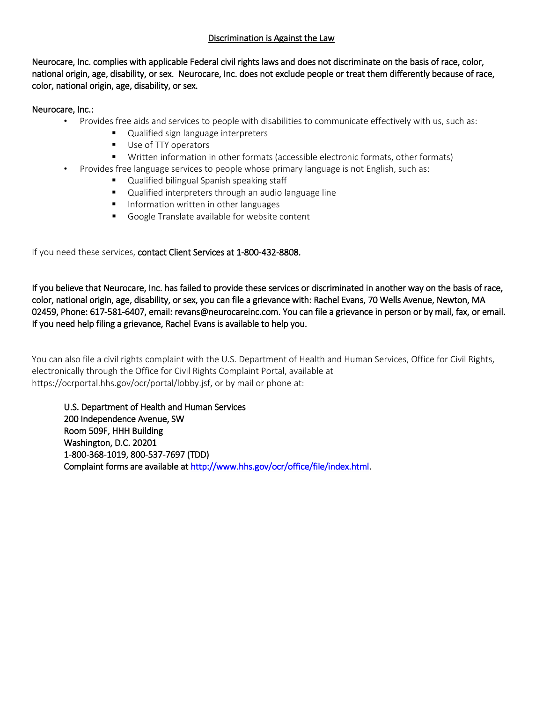## Discrimination is Against the Law

Neurocare, Inc. complies with applicable Federal civil rights laws and does not discriminate on the basis of race, color, national origin, age, disability, or sex. Neurocare, Inc. does not exclude people or treat them differently because of race, color, national origin, age, disability, or sex.

## Neurocare, Inc.:

- Provides free aids and services to people with disabilities to communicate effectively with us, such as:
	- **Qualified sign language interpreters**
	- Use of TTY operators
	- Written information in other formats (accessible electronic formats, other formats)
- Provides free language services to people whose primary language is not English, such as:
	- **Qualified bilingual Spanish speaking staff**
	- Qualified interpreters through an audio language line
	- **Information written in other languages**
	- Google Translate available for website content

If you need these services, contact Client Services at 1-800-432-8808.

If you believe that Neurocare, Inc. has failed to provide these services or discriminated in another way on the basis of race, color, national origin, age, disability, or sex, you can file a grievance with: Rachel Evans, 70 Wells Avenue, Newton, MA 02459, Phone: 617-581-6407, email: revans@neurocareinc.com. You can file a grievance in person or by mail, fax, or email. If you need help filing a grievance, Rachel Evans is available to help you.

You can also file a civil rights complaint with the U.S. Department of Health and Human Services, Office for Civil Rights, electronically through the Office for Civil Rights Complaint Portal, available at https://ocrportal.hhs.gov/ocr/portal/lobby.jsf, or by mail or phone at:

U.S. Department of Health and Human Services 200 Independence Avenue, SW Room 509F, HHH Building Washington, D.C. 20201 1-800-368-1019, 800-537-7697 (TDD) Complaint forms are available at [http://www.hhs.gov/ocr/office/file/index.html.](http://www.hhs.gov/ocr/office/file/index.html)